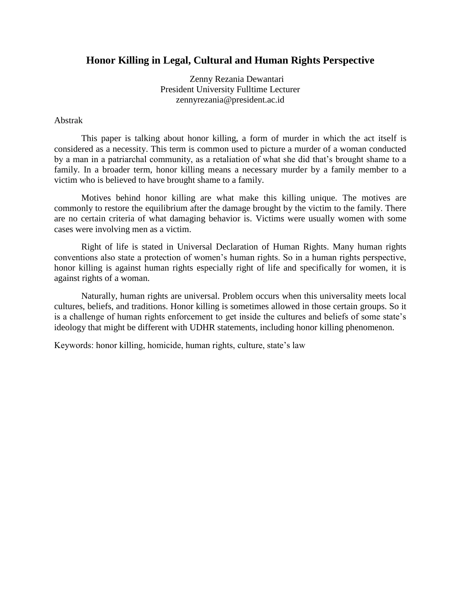## **Honor Killing in Legal, Cultural and Human Rights Perspective**

Zenny Rezania Dewantari President University Fulltime Lecturer zennyrezania@president.ac.id

#### Abstrak

This paper is talking about honor killing, a form of murder in which the act itself is considered as a necessity. This term is common used to picture a murder of a woman conducted by a man in a patriarchal community, as a retaliation of what she did that"s brought shame to a family. In a broader term, honor killing means a necessary murder by a family member to a victim who is believed to have brought shame to a family.

Motives behind honor killing are what make this killing unique. The motives are commonly to restore the equilibrium after the damage brought by the victim to the family. There are no certain criteria of what damaging behavior is. Victims were usually women with some cases were involving men as a victim.

Right of life is stated in Universal Declaration of Human Rights. Many human rights conventions also state a protection of women"s human rights. So in a human rights perspective, honor killing is against human rights especially right of life and specifically for women, it is against rights of a woman.

Naturally, human rights are universal. Problem occurs when this universality meets local cultures, beliefs, and traditions. Honor killing is sometimes allowed in those certain groups. So it is a challenge of human rights enforcement to get inside the cultures and beliefs of some state"s ideology that might be different with UDHR statements, including honor killing phenomenon.

Keywords: honor killing, homicide, human rights, culture, state"s law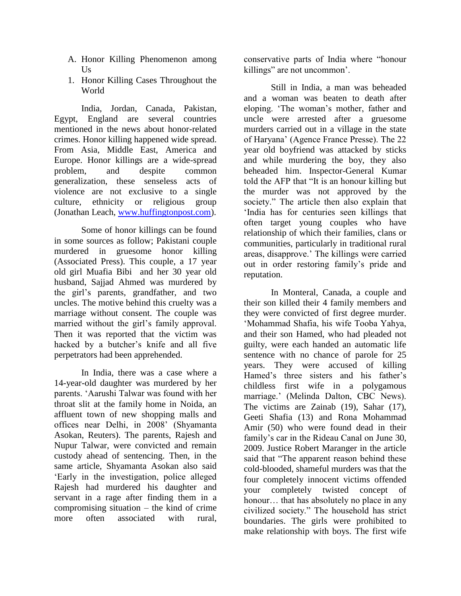- A. Honor Killing Phenomenon among  $U_s$
- 1. Honor Killing Cases Throughout the World

India, Jordan, Canada, Pakistan, Egypt, England are several countries mentioned in the news about honor-related crimes. Honor killing happened wide spread. From Asia, Middle East, America and Europe. Honor killings are a wide-spread problem, and despite common generalization, these senseless acts of violence are not exclusive to a single culture, ethnicity or religious group (Jonathan Leach, [www.huffingtonpost.com\)](http://www.huffingtonpost.com/).

Some of honor killings can be found in some sources as follow; Pakistani couple murdered in gruesome honor killing (Associated Press). This couple, a 17 year old girl Muafia Bibi and her 30 year old husband, Sajjad Ahmed was murdered by the girl"s parents, grandfather, and two uncles. The motive behind this cruelty was a marriage without consent. The couple was married without the girl's family approval. Then it was reported that the victim was hacked by a butcher"s knife and all five perpetrators had been apprehended.

In India, there was a case where a 14-year-old daughter was murdered by her parents. "Aarushi Talwar was found with her throat slit at the family home in Noida, an affluent town of new shopping malls and offices near Delhi, in 2008" (Shyamanta Asokan, Reuters). The parents, Rajesh and Nupur Talwar, were convicted and remain custody ahead of sentencing. Then, in the same article, Shyamanta Asokan also said "Early in the investigation, police alleged Rajesh had murdered his daughter and servant in a rage after finding them in a compromising situation – the kind of crime more often associated with rural,

conservative parts of India where "honour killings" are not uncommon'.

Still in India, a man was beheaded and a woman was beaten to death after eloping. "The woman"s mother, father and uncle were arrested after a gruesome murders carried out in a village in the state of Haryana" (Agence France Presse). The 22 year old boyfriend was attacked by sticks and while murdering the boy, they also beheaded him. Inspector-General Kumar told the AFP that "It is an honour killing but the murder was not approved by the society." The article then also explain that "India has for centuries seen killings that often target young couples who have relationship of which their families, clans or communities, particularly in traditional rural areas, disapprove." The killings were carried out in order restoring family"s pride and reputation.

In Monteral, Canada, a couple and their son killed their 4 family members and they were convicted of first degree murder. "Mohammad Shafia, his wife Tooba Yahya, and their son Hamed, who had pleaded not guilty, were each handed an automatic life sentence with no chance of parole for 25 years. They were accused of killing Hamed's three sisters and his father's childless first wife in a polygamous marriage." (Melinda Dalton, CBC News). The victims are Zainab (19), Sahar (17), Geeti Shafia (13) and Rona Mohammad Amir (50) who were found dead in their family's car in the Rideau Canal on June 30, 2009. Justice Robert Maranger in the article said that "The apparent reason behind these cold-blooded, shameful murders was that the four completely innocent victims offended your completely twisted concept of honour... that has absolutely no place in any civilized society." The household has strict boundaries. The girls were prohibited to make relationship with boys. The first wife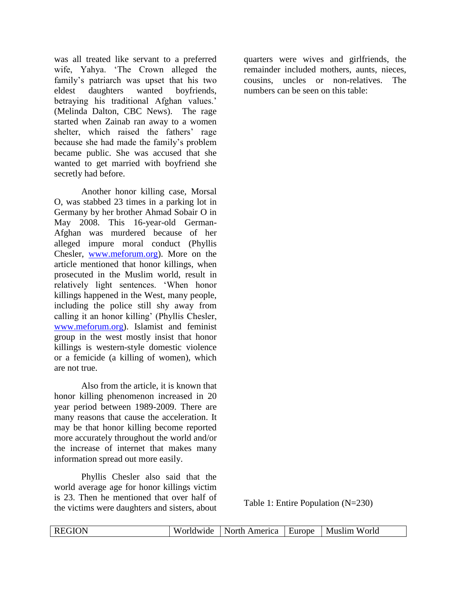was all treated like servant to a preferred wife, Yahya. "The Crown alleged the family's patriarch was upset that his two eldest daughters wanted boyfriends, betraying his traditional Afghan values.' (Melinda Dalton, CBC News). The rage started when Zainab ran away to a women shelter, which raised the fathers' rage because she had made the family"s problem became public. She was accused that she wanted to get married with boyfriend she secretly had before.

Another honor killing case, Morsal O, was stabbed 23 times in a parking lot in Germany by her brother Ahmad Sobair O in May 2008. This 16-year-old German-Afghan was murdered because of her alleged impure moral conduct (Phyllis Chesler, [www.meforum.org\)](http://www.meforum.org/). More on the article mentioned that honor killings, when prosecuted in the Muslim world, result in relatively light sentences. "When honor killings happened in the West, many people, including the police still shy away from calling it an honor killing" (Phyllis Chesler, [www.meforum.org\)](http://www.meforum.org/). Islamist and feminist group in the west mostly insist that honor killings is western-style domestic violence or a femicide (a killing of women), which are not true.

Also from the article, it is known that honor killing phenomenon increased in 20 year period between 1989-2009. There are many reasons that cause the acceleration. It may be that honor killing become reported more accurately throughout the world and/or the increase of internet that makes many information spread out more easily.

Phyllis Chesler also said that the world average age for honor killings victim is 23. Then he mentioned that over half of the victims were daughters and sisters, about quarters were wives and girlfriends, the remainder included mothers, aunts, nieces, cousins, uncles or non-relatives. The numbers can be seen on this table:

Table 1: Entire Population (N=230)

| к<br>______ | w<br>11 C<br>۱W. | merica<br>- Amer<br>ו או | $\sim$ $\sim$ $\sim$<br><b>Elirope</b><br>______ | Muslim<br>World |
|-------------|------------------|--------------------------|--------------------------------------------------|-----------------|
|-------------|------------------|--------------------------|--------------------------------------------------|-----------------|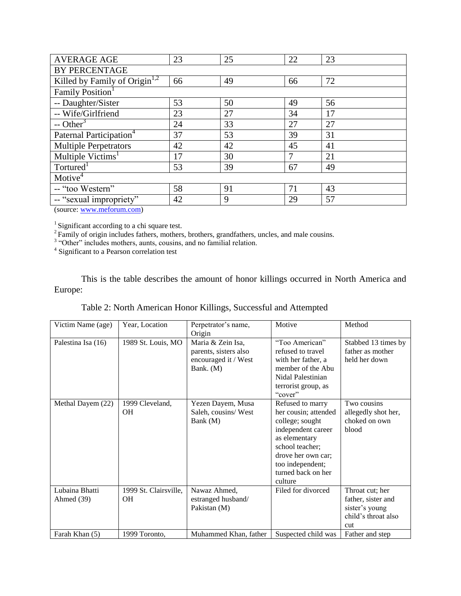| <b>AVERAGE AGE</b>                        | 23 | 25 | 22 | 23 |  |
|-------------------------------------------|----|----|----|----|--|
| BY PERCENTAGE                             |    |    |    |    |  |
| Killed by Family of Origin <sup>1,2</sup> | 66 | 49 | 66 | 72 |  |
| Family Position <sup>1</sup>              |    |    |    |    |  |
| -- Daughter/Sister                        | 53 | 50 | 49 | 56 |  |
| -- Wife/Girlfriend                        | 23 | 27 | 34 | 17 |  |
| $-$ Other <sup>3</sup>                    | 24 | 33 | 27 | 27 |  |
| Paternal Participation <sup>4</sup>       | 37 | 53 | 39 | 31 |  |
| <b>Multiple Perpetrators</b>              | 42 | 42 | 45 | 41 |  |
| Multiple Victims <sup>1</sup>             | 17 | 30 | 7  | 21 |  |
| Tortured <sup>1</sup>                     | 53 | 39 | 67 | 49 |  |
| Motive <sup>4</sup>                       |    |    |    |    |  |
| -- "too Western"                          | 58 | 91 | 71 | 43 |  |
| -- "sexual impropriety"                   | 42 | 9  | 29 | 57 |  |

(source[: www.meforum.com\)](http://www.meforum.com/)

 $<sup>1</sup>$  Significant according to a chi square test.</sup>

 $2^2$  Family of origin includes fathers, mothers, brothers, grandfathers, uncles, and male cousins.<br>  $3^{3}$  "Other" includes mothers, aunts, cousins, and no familial relation.<br>  $4$  Significant to a Pearson correlation tes

This is the table describes the amount of honor killings occurred in North America and Europe:

| Table 2: North American Honor Killings, Successful and Attempted |  |  |
|------------------------------------------------------------------|--|--|
|------------------------------------------------------------------|--|--|

| Victim Name (age)  | Year, Location        | Perpetrator's name,   | Motive               | Method              |
|--------------------|-----------------------|-----------------------|----------------------|---------------------|
|                    |                       | Origin                |                      |                     |
| Palestina Isa (16) | 1989 St. Louis, MO    | Maria & Zein Isa,     | "Too American"       | Stabbed 13 times by |
|                    |                       | parents, sisters also | refused to travel    | father as mother    |
|                    |                       | encouraged it / West  | with her father, a   | held her down       |
|                    |                       | Bank. (M)             | member of the Abu    |                     |
|                    |                       |                       | Nidal Palestinian    |                     |
|                    |                       |                       | terrorist group, as  |                     |
|                    |                       |                       | "cover"              |                     |
| Methal Dayem (22)  | 1999 Cleveland,       | Yezen Dayem, Musa     | Refused to marry     | Two cousins         |
|                    | <b>OH</b>             | Saleh, cousins/West   | her cousin; attended | allegedly shot her, |
|                    |                       | Bank (M)              | college; sought      | choked on own       |
|                    |                       |                       | independent career   | blood               |
|                    |                       |                       | as elementary        |                     |
|                    |                       |                       | school teacher;      |                     |
|                    |                       |                       | drove her own car;   |                     |
|                    |                       |                       | too independent;     |                     |
|                    |                       |                       | turned back on her   |                     |
|                    |                       |                       | culture              |                     |
| Lubaina Bhatti     | 1999 St. Clairsville, | Nawaz Ahmed,          | Filed for divorced   | Throat cut; her     |
| Ahmed $(39)$       | OН                    | estranged husband/    |                      | father, sister and  |
|                    |                       | Pakistan (M)          |                      | sister's young      |
|                    |                       |                       |                      | child's throat also |
|                    |                       |                       |                      | cut                 |
| Farah Khan (5)     | 1999 Toronto,         | Muhammed Khan, father | Suspected child was  | Father and step     |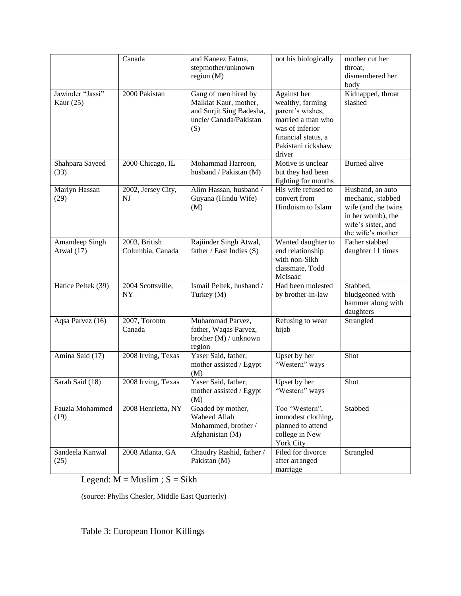|                    | Canada             | and Kaneez Fatma,          | not his biologically                  | mother cut her         |
|--------------------|--------------------|----------------------------|---------------------------------------|------------------------|
|                    |                    | stepmother/unknown         |                                       | throat,                |
|                    |                    | region $(M)$               |                                       | dismembered her        |
|                    |                    |                            |                                       | body                   |
| Jawinder "Jassi"   | 2000 Pakistan      | Gang of men hired by       | Against her                           | Kidnapped, throat      |
| Kaur $(25)$        |                    | Malkiat Kaur, mother,      | wealthy, farming                      | slashed                |
|                    |                    | and Surjit Sing Badesha,   | parent's wishes,                      |                        |
|                    |                    | uncle/ Canada/Pakistan     | married a man who                     |                        |
|                    |                    | (S)                        | was of inferior                       |                        |
|                    |                    |                            | financial status, a                   |                        |
|                    |                    |                            | Pakistani rickshaw<br>driver          |                        |
| Shahpara Sayeed    | 2000 Chicago, IL   | Mohammad Harroon,          | Motive is unclear                     | <b>Burned</b> alive    |
| (33)               |                    | husband / Pakistan (M)     | but they had been                     |                        |
|                    |                    |                            | fighting for months                   |                        |
| Marlyn Hassan      | 2002, Jersey City, | Alim Hassan, husband /     | His wife refused to                   | Husband, an auto       |
| (29)               | NJ                 | Guyana (Hindu Wife)        | convert from                          | mechanic, stabbed      |
|                    |                    | (M)                        | Hinduism to Islam                     | wife (and the twins    |
|                    |                    |                            |                                       | in her womb), the      |
|                    |                    |                            |                                       | wife's sister, and     |
|                    |                    |                            |                                       | the wife's mother      |
| Amandeep Singh     | 2003, British      | Rajiinder Singh Atwal,     | Wanted daughter to                    | Father stabbed         |
| Atwal $(17)$       | Columbia, Canada   | father / East Indies $(S)$ | end relationship                      | daughter 11 times      |
|                    |                    |                            | with non-Sikh                         |                        |
|                    |                    |                            | classmate, Todd                       |                        |
|                    |                    |                            | McIsaac                               |                        |
| Hatice Peltek (39) | 2004 Scottsville,  | Ismail Peltek, husband /   | Had been molested                     | Stabbed,               |
|                    | <b>NY</b>          | Turkey (M)                 | by brother-in-law                     | bludgeoned with        |
|                    |                    |                            |                                       | hammer along with      |
| Aqsa Parvez (16)   | 2007, Toronto      | Muhammad Parvez,           | Refusing to wear                      | daughters<br>Strangled |
|                    | Canada             | father, Waqas Parvez,      | hijab                                 |                        |
|                    |                    | brother (M) / unknown      |                                       |                        |
|                    |                    | region                     |                                       |                        |
| Amina Said (17)    | 2008 Irving, Texas | Yaser Said, father;        | Upset by her                          | Shot                   |
|                    |                    | mother assisted / Egypt    | "Western" ways                        |                        |
|                    |                    | (M)                        |                                       |                        |
| Sarah Said (18)    | 2008 Irving, Texas | Yaser Said, father;        | Upset by her                          | Shot                   |
|                    |                    | mother assisted / Egypt    | "Western" ways                        |                        |
|                    |                    | (M)                        |                                       |                        |
| Fauzia Mohammed    | 2008 Henrietta, NY | Goaded by mother,          | Too "Western",                        | Stabbed                |
| (19)               |                    | Waheed Allah               | immodest clothing,                    |                        |
|                    |                    | Mohammed, brother /        | planned to attend                     |                        |
|                    |                    | Afghanistan (M)            | college in New                        |                        |
| Sandeela Kanwal    |                    | Chaudry Rashid, father /   | <b>York City</b><br>Filed for divorce | Strangled              |
| (25)               | 2008 Atlanta, GA   | Pakistan (M)               | after arranged                        |                        |
|                    |                    |                            | marriage                              |                        |

Legend:  $M =$  Muslim ;  $S =$  Sikh

(source: Phyllis Chesler, Middle East Quarterly)

# Table 3: European Honor Killings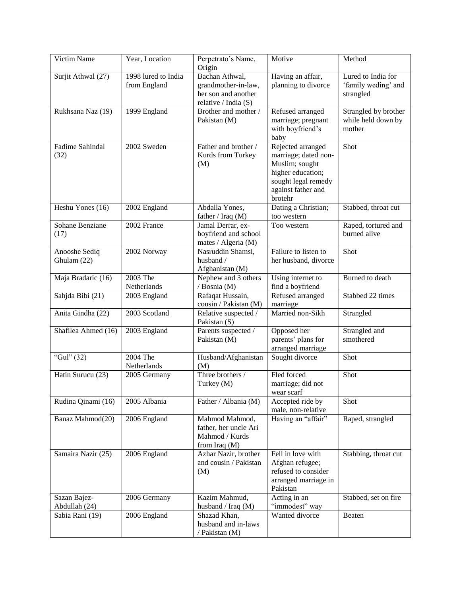| Victim Name                   | Year, Location                      | Perpetrato's Name,<br>Origin                                                           | Motive                                                                                                                                   | Method                                                 |
|-------------------------------|-------------------------------------|----------------------------------------------------------------------------------------|------------------------------------------------------------------------------------------------------------------------------------------|--------------------------------------------------------|
| Surjit Athwal (27)            | 1998 lured to India<br>from England | Bachan Athwal,<br>grandmother-in-law,<br>her son and another<br>relative / India $(S)$ | Having an affair,<br>planning to divorce                                                                                                 | Lured to India for<br>'family weding' and<br>strangled |
| Rukhsana Naz (19)             | 1999 England                        | Brother and mother /<br>Pakistan (M)                                                   | Refused arranged<br>marriage; pregnant<br>with boyfriend's<br>baby                                                                       | Strangled by brother<br>while held down by<br>mother   |
| Fadime Sahindal<br>(32)       | 2002 Sweden                         | Father and brother /<br>Kurds from Turkey<br>(M)                                       | Rejected arranged<br>marriage; dated non-<br>Muslim; sought<br>higher education;<br>sought legal remedy<br>against father and<br>brotehr | Shot                                                   |
| Heshu Yones (16)              | 2002 England                        | Abdalla Yones,<br>father / Iraq (M)                                                    | Dating a Christian;<br>too western                                                                                                       | Stabbed, throat cut                                    |
| Sohane Benziane<br>(17)       | 2002 France                         | Jamal Derrar, ex-<br>boyfriend and school<br>mates / Algeria (M)                       | Too western                                                                                                                              | Raped, tortured and<br>burned alive                    |
| Anooshe Sediq<br>Ghulam (22)  | 2002 Norway                         | Nasruddin Shamsi,<br>husband /<br>Afghanistan (M)                                      | Failure to listen to<br>her husband, divorce                                                                                             | Shot                                                   |
| Maja Bradaric (16)            | 2003 The<br>Netherlands             | Nephew and 3 others<br>/ Bosnia (M)                                                    | Using internet to<br>find a boyfriend                                                                                                    | Burned to death                                        |
| Sahjda Bibi (21)              | 2003 England                        | Rafaqat Hussain,<br>cousin / Pakistan (M)                                              | Refused arranged<br>marriage                                                                                                             | Stabbed 22 times                                       |
| Anita Gindha (22)             | 2003 Scotland                       | Relative suspected /<br>Pakistan (S)                                                   | Married non-Sikh                                                                                                                         | Strangled                                              |
| Shafilea Ahmed (16)           | 2003 England                        | Parents suspected /<br>Pakistan (M)                                                    | Opposed her<br>parents' plans for<br>arranged marriage                                                                                   | Strangled and<br>smothered                             |
| "Gul" $(32)$                  | 2004 The<br>Netherlands             | Husband/Afghanistan<br>(M)                                                             | Sought divorce                                                                                                                           | Shot                                                   |
| Hatin Surucu (23)             | 2005 Germany                        | Three brothers /<br>Turkey (M)                                                         | Fled forced<br>marriage; did not<br>wear scarf                                                                                           | Shot                                                   |
| Rudina Qinami (16)            | 2005 Albania                        | Father / Albania (M)                                                                   | Accepted ride by<br>male, non-relative                                                                                                   | Shot                                                   |
| Banaz Mahmod(20)              | 2006 England                        | Mahmod Mahmod,<br>father, her uncle Ari<br>Mahmod / Kurds<br>from Iraq $(M)$           | Having an "affair"                                                                                                                       | Raped, strangled                                       |
| Samaira Nazir (25)            | 2006 England                        | Azhar Nazir, brother<br>and cousin / Pakistan<br>(M)                                   | Fell in love with<br>Afghan refugee;<br>refused to consider<br>arranged marriage in<br>Pakistan                                          | Stabbing, throat cut                                   |
| Sazan Bajez-<br>Abdullah (24) | 2006 Germany                        | Kazim Mahmud,<br>husband / Iraq $(M)$                                                  | Acting in an<br>"immodest" way                                                                                                           | Stabbed, set on fire                                   |
| Sabia Rani (19)               | 2006 England                        | Shazad Khan,<br>husband and in-laws<br>/ Pakistan (M)                                  | Wanted divorce                                                                                                                           | Beaten                                                 |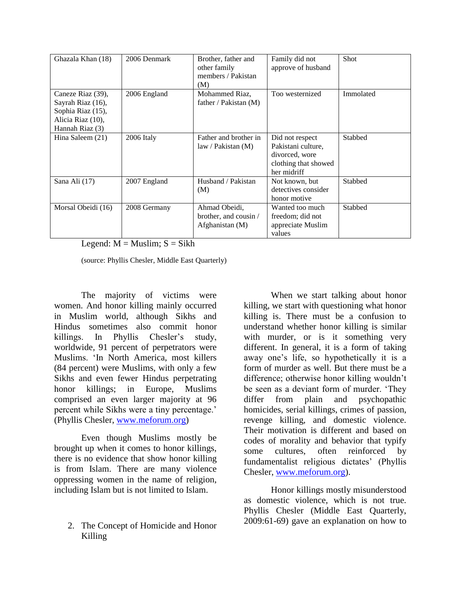| Ghazala Khan (18)                                                                                   | 2006 Denmark | Brother, father and<br>other family<br>members / Pakistan<br>(M) | Family did not<br>approve of husband                                                           | <b>Shot</b>    |
|-----------------------------------------------------------------------------------------------------|--------------|------------------------------------------------------------------|------------------------------------------------------------------------------------------------|----------------|
| Caneze Riaz (39),<br>Sayrah Riaz (16),<br>Sophia Riaz (15),<br>Alicia Riaz (10),<br>Hannah Riaz (3) | 2006 England | Mohammed Riaz,<br>father / Pakistan (M)                          | Too westernized                                                                                | Immolated      |
| Hina Saleem $(21)$                                                                                  | 2006 Italy   | Father and brother in<br>law / Pakistan (M)                      | Did not respect<br>Pakistani culture,<br>divorced, wore<br>clothing that showed<br>her midriff | Stabbed        |
| Sana Ali (17)                                                                                       | 2007 England | Husband / Pakistan<br>(M)                                        | Not known, but<br>detectives consider<br>honor motive                                          | <b>Stabbed</b> |
| Morsal Obeidi (16)                                                                                  | 2008 Germany | Ahmad Obeidi,<br>brother, and cousin /<br>Afghanistan (M)        | Wanted too much<br>freedom; did not<br>appreciate Muslim<br>values                             | <b>Stabbed</b> |

Legend:  $M =$  Muslim;  $S =$  Sikh

(source: Phyllis Chesler, Middle East Quarterly)

The majority of victims were women. And honor killing mainly occurred in Muslim world, although Sikhs and Hindus sometimes also commit honor killings. In Phyllis Chesler's study, worldwide, 91 percent of perpetrators were Muslims. "In North America, most killers (84 percent) were Muslims, with only a few Sikhs and even fewer Hindus perpetrating honor killings; in Europe, Muslims comprised an even larger majority at 96 percent while Sikhs were a tiny percentage." (Phyllis Chesler, [www.meforum.org\)](http://www.meforum.org/)

Even though Muslims mostly be brought up when it comes to honor killings, there is no evidence that show honor killing is from Islam. There are many violence oppressing women in the name of religion, including Islam but is not limited to Islam.

2. The Concept of Homicide and Honor Killing

When we start talking about honor killing, we start with questioning what honor killing is. There must be a confusion to understand whether honor killing is similar with murder, or is it something very different. In general, it is a form of taking away one"s life, so hypothetically it is a form of murder as well. But there must be a difference; otherwise honor killing wouldn"t be seen as a deviant form of murder. "They differ from plain and psychopathic homicides, serial killings, crimes of passion, revenge killing, and domestic violence. Their motivation is different and based on codes of morality and behavior that typify some cultures, often reinforced by fundamentalist religious dictates" (Phyllis Chesler, [www.meforum.org\)](http://www.meforum.org/).

Honor killings mostly misunderstood as domestic violence, which is not true. Phyllis Chesler (Middle East Quarterly, 2009:61-69) gave an explanation on how to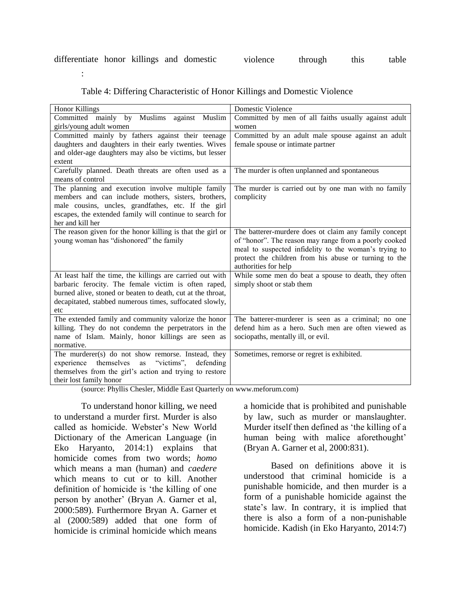| <b>Honor Killings</b>                                       | Domestic Violence                                     |
|-------------------------------------------------------------|-------------------------------------------------------|
| Committed mainly by Muslims<br>against Muslim               | Committed by men of all faiths usually against adult  |
| girls/young adult women                                     | women                                                 |
| Committed mainly by fathers against their teenage           | Committed by an adult male spouse against an adult    |
| daughters and daughters in their early twenties. Wives      | female spouse or intimate partner                     |
| and older-age daughters may also be victims, but lesser     |                                                       |
| extent                                                      |                                                       |
| Carefully planned. Death threats are often used as a        | The murder is often unplanned and spontaneous         |
| means of control                                            |                                                       |
| The planning and execution involve multiple family          | The murder is carried out by one man with no family   |
| members and can include mothers, sisters, brothers,         | complicity                                            |
| male cousins, uncles, grandfathes, etc. If the girl         |                                                       |
| escapes, the extended family will continue to search for    |                                                       |
| her and kill her                                            |                                                       |
| The reason given for the honor killing is that the girl or  | The batterer-murdere does ot claim any family concept |
| young woman has "dishonored" the family                     | of "honor". The reason may range from a poorly cooked |
|                                                             | meal to suspected infidelity to the woman's trying to |
|                                                             | protect the children from his abuse or turning to the |
|                                                             | authorities for help                                  |
| At least half the time, the killings are carried out with   | While some men do beat a spouse to death, they often  |
| barbaric ferocity. The female victim is often raped,        | simply shoot or stab them                             |
| burned alive, stoned or beaten to death, cut at the throat, |                                                       |
| decapitated, stabbed numerous times, suffocated slowly,     |                                                       |
| etc                                                         |                                                       |
| The extended family and community valorize the honor        | The batterer-murderer is seen as a criminal; no one   |
| killing. They do not condemn the perpetrators in the        | defend him as a hero. Such men are often viewed as    |
| name of Islam. Mainly, honor killings are seen as           | sociopaths, mentally ill, or evil.                    |
| normative.                                                  |                                                       |
| The murderer(s) do not show remorse. Instead, they          | Sometimes, remorse or regret is exhibited.            |
| "victims".<br>themselves<br>defending<br>experience<br>as   |                                                       |
| themselves from the girl's action and trying to restore     |                                                       |
| their lost family honor                                     |                                                       |

#### Table 4: Differing Characteristic of Honor Killings and Domestic Violence

(source: Phyllis Chesler, Middle East Quarterly on www.meforum.com)

To understand honor killing, we need to understand a murder first. Murder is also called as homicide. Webster"s New World Dictionary of the American Language (in Eko Haryanto, 2014:1) explains that homicide comes from two words; *homo* which means a man (human) and *caedere* which means to cut or to kill. Another definition of homicide is "the killing of one person by another' (Bryan A. Garner et al, 2000:589). Furthermore Bryan A. Garner et al (2000:589) added that one form of homicide is criminal homicide which means

:

a homicide that is prohibited and punishable by law, such as murder or manslaughter. Murder itself then defined as "the killing of a human being with malice aforethought' (Bryan A. Garner et al, 2000:831).

Based on definitions above it is understood that criminal homicide is a punishable homicide, and then murder is a form of a punishable homicide against the state"s law. In contrary, it is implied that there is also a form of a non-punishable homicide. Kadish (in Eko Haryanto, 2014:7)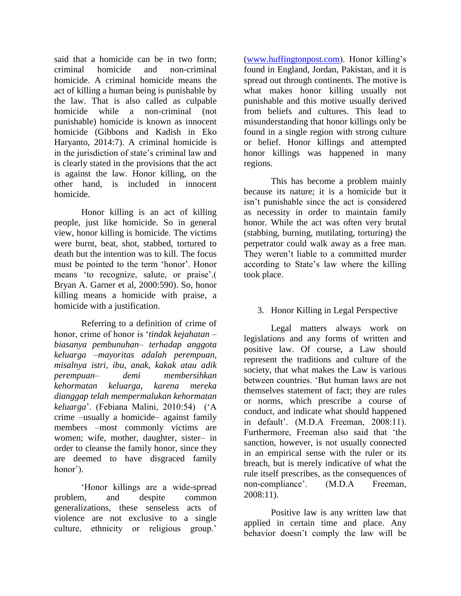said that a homicide can be in two form; criminal homicide and non-criminal homicide. A criminal homicide means the act of killing a human being is punishable by the law. That is also called as culpable homicide while a non-criminal (not punishable) homicide is known as innocent homicide (Gibbons and Kadish in Eko Haryanto, 2014:7). A criminal homicide is in the jurisdiction of state's criminal law and is clearly stated in the provisions that the act is against the law. Honor killing, on the other hand, is included in innocent homicide.

Honor killing is an act of killing people, just like homicide. So in general view, honor killing is homicide. The victims were burnt, beat, shot, stabbed, tortured to death but the intention was to kill. The focus must be pointed to the term "honor". Honor means 'to recognize, salute, or praise'. Bryan A. Garner et al, 2000:590). So, honor killing means a homicide with praise, a homicide with a justification.

Referring to a definition of crime of honor, crime of honor is "*tindak kejahatan – biasanya pembunuhan– terhadap anggota keluarga –mayoritas adalah perempuan, misalnya istri, ibu, anak, kakak atau adik perempuan– demi membersihkan kehormatan keluarga, karena mereka dianggap telah mempermalukan kehormatan keluarga*". (Febiana Malini, 2010:54) ("A crime –usually a homicide– against family members –most commonly victims are women; wife, mother, daughter, sister– in order to cleanse the family honor, since they are deemed to have disgraced family honor<sup>'</sup>).

'Honor killings are a wide-spread problem, and despite common generalizations, these senseless acts of violence are not exclusive to a single culture, ethnicity or religious group.<sup>"</sup>

[\(www.huffingtonpost.com\)](http://www.huffingtonpost.com/). Honor killing"s found in England, Jordan, Pakistan, and it is spread out through continents. The motive is what makes honor killing usually not punishable and this motive usually derived from beliefs and cultures. This lead to misunderstanding that honor killings only be found in a single region with strong culture or belief. Honor killings and attempted honor killings was happened in many regions.

This has become a problem mainly because its nature; it is a homicide but it isn"t punishable since the act is considered as necessity in order to maintain family honor. While the act was often very brutal (stabbing, burning, mutilating, torturing) the perpetrator could walk away as a free man. They weren't liable to a committed murder according to State"s law where the killing took place.

## 3. Honor Killing in Legal Perspective

Legal matters always work on legislations and any forms of written and positive law. Of course, a Law should represent the traditions and culture of the society, that what makes the Law is various between countries. "But human laws are not themselves statement of fact; they are rules or norms, which prescribe a course of conduct, and indicate what should happened in default". (M.D.A Freeman, 2008:11). Furthermore, Freeman also said that "the sanction, however, is not usually connected in an empirical sense with the ruler or its breach, but is merely indicative of what the rule itself prescribes, as the consequences of non-compliance'. (M.D.A Freeman, 2008:11).

Positive law is any written law that applied in certain time and place. Any behavior doesn"t comply the law will be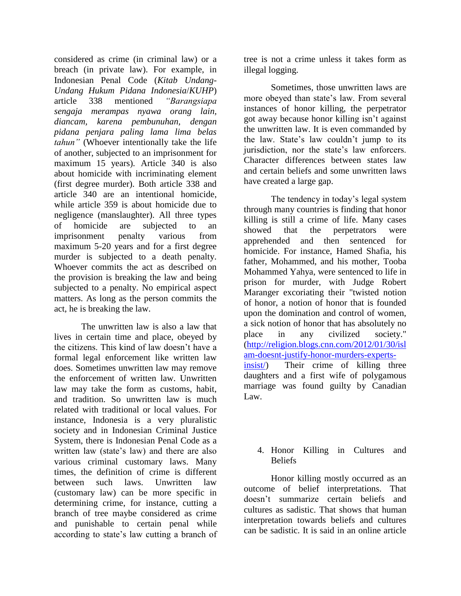considered as crime (in criminal law) or a breach (in private law). For example, in Indonesian Penal Code (*Kitab Undang-Undang Hukum Pidana Indonesia*/*KUHP*) article 338 mentioned *"Barangsiapa sengaja merampas nyawa orang lain, diancam, karena pembunuhan, dengan pidana penjara paling lama lima belas tahun"* (Whoever intentionally take the life of another, subjected to an imprisonment for maximum 15 years). Article 340 is also about homicide with incriminating element (first degree murder). Both article 338 and article 340 are an intentional homicide, while article 359 is about homicide due to negligence (manslaughter). All three types of homicide are subjected to an imprisonment penalty various from maximum 5-20 years and for a first degree murder is subjected to a death penalty. Whoever commits the act as described on the provision is breaking the law and being subjected to a penalty. No empirical aspect matters. As long as the person commits the act, he is breaking the law.

The unwritten law is also a law that lives in certain time and place, obeyed by the citizens. This kind of law doesn"t have a formal legal enforcement like written law does. Sometimes unwritten law may remove the enforcement of written law. Unwritten law may take the form as customs, habit, and tradition. So unwritten law is much related with traditional or local values. For instance, Indonesia is a very pluralistic society and in Indonesian Criminal Justice System, there is Indonesian Penal Code as a written law (state's law) and there are also various criminal customary laws. Many times, the definition of crime is different between such laws. Unwritten law (customary law) can be more specific in determining crime, for instance, cutting a branch of tree maybe considered as crime and punishable to certain penal while according to state"s law cutting a branch of tree is not a crime unless it takes form as illegal logging.

Sometimes, those unwritten laws are more obeyed than state's law. From several instances of honor killing, the perpetrator got away because honor killing isn"t against the unwritten law. It is even commanded by the law. State"s law couldn"t jump to its jurisdiction, nor the state's law enforcers. Character differences between states law and certain beliefs and some unwritten laws have created a large gap.

The tendency in today's legal system through many countries is finding that honor killing is still a crime of life. Many cases showed that the perpetrators were apprehended and then sentenced for homicide. For instance, Hamed Shafia, his father, Mohammed, and his mother, Tooba Mohammed Yahya, were sentenced to life in prison for murder, with Judge Robert Maranger excoriating their "twisted notion of honor, a notion of honor that is founded upon the domination and control of women, a sick notion of honor that has absolutely no place in any civilized society." [\(http://religion.blogs.cnn.com/2012/01/30/isl](http://religion.blogs.cnn.com/2012/01/30/islam-doesnt-justify-honor-murders-experts-insist/) [am-doesnt-justify-honor-murders-experts](http://religion.blogs.cnn.com/2012/01/30/islam-doesnt-justify-honor-murders-experts-insist/)[insist/\)](http://religion.blogs.cnn.com/2012/01/30/islam-doesnt-justify-honor-murders-experts-insist/) Their crime of killing three daughters and a first wife of polygamous marriage was found guilty by Canadian Law.

## 4. Honor Killing in Cultures and Beliefs

Honor killing mostly occurred as an outcome of belief interpretations. That doesn"t summarize certain beliefs and cultures as sadistic. That shows that human interpretation towards beliefs and cultures can be sadistic. It is said in an online article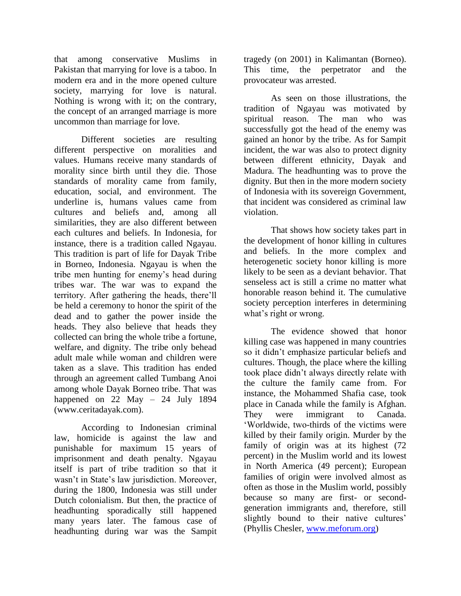that among conservative Muslims in Pakistan that marrying for love is a taboo. In modern era and in the more opened culture society, marrying for love is natural. Nothing is wrong with it; on the contrary, the concept of an arranged marriage is more uncommon than marriage for love.

Different societies are resulting different perspective on moralities and values. Humans receive many standards of morality since birth until they die. Those standards of morality came from family, education, social, and environment. The underline is, humans values came from cultures and beliefs and, among all similarities, they are also different between each cultures and beliefs. In Indonesia, for instance, there is a tradition called Ngayau. This tradition is part of life for Dayak Tribe in Borneo, Indonesia. Ngayau is when the tribe men hunting for enemy"s head during tribes war. The war was to expand the territory. After gathering the heads, there"ll be held a ceremony to honor the spirit of the dead and to gather the power inside the heads. They also believe that heads they collected can bring the whole tribe a fortune, welfare, and dignity. The tribe only behead adult male while woman and children were taken as a slave. This tradition has ended through an agreement called Tumbang Anoi among whole Dayak Borneo tribe. That was happened on 22 May – 24 July 1894 (www.ceritadayak.com).

According to Indonesian criminal law, homicide is against the law and punishable for maximum 15 years of imprisonment and death penalty. Ngayau itself is part of tribe tradition so that it wasn't in State's law jurisdiction. Moreover, during the 1800, Indonesia was still under Dutch colonialism. But then, the practice of headhunting sporadically still happened many years later. The famous case of headhunting during war was the Sampit tragedy (on 2001) in Kalimantan (Borneo). This time, the perpetrator and the provocateur was arrested.

As seen on those illustrations, the tradition of Ngayau was motivated by spiritual reason. The man who was successfully got the head of the enemy was gained an honor by the tribe. As for Sampit incident, the war was also to protect dignity between different ethnicity, Dayak and Madura. The headhunting was to prove the dignity. But then in the more modern society of Indonesia with its sovereign Government, that incident was considered as criminal law violation.

That shows how society takes part in the development of honor killing in cultures and beliefs. In the more complex and heterogenetic society honor killing is more likely to be seen as a deviant behavior. That senseless act is still a crime no matter what honorable reason behind it. The cumulative society perception interferes in determining what's right or wrong.

The evidence showed that honor killing case was happened in many countries so it didn"t emphasize particular beliefs and cultures. Though, the place where the killing took place didn"t always directly relate with the culture the family came from. For instance, the Mohammed Shafia case, took place in Canada while the family is Afghan. They were immigrant to Canada. "Worldwide, two-thirds of the victims were killed by their family origin. Murder by the family of origin was at its highest (72 percent) in the Muslim world and its lowest in North America (49 percent); European families of origin were involved almost as often as those in the Muslim world, possibly because so many are first- or secondgeneration immigrants and, therefore, still slightly bound to their native cultures' (Phyllis Chesler, [www.meforum.org\)](http://www.meforum.org/)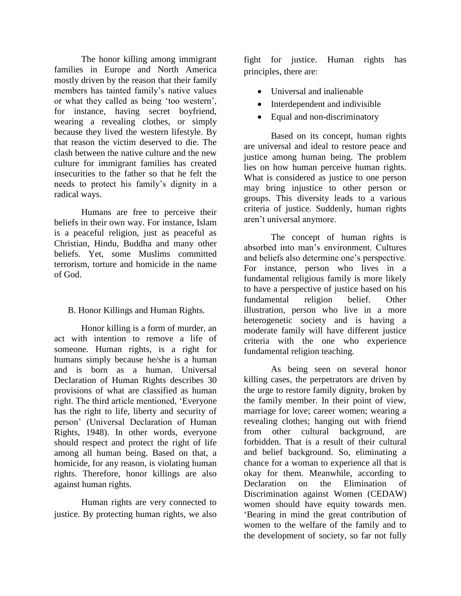The honor killing among immigrant families in Europe and North America mostly driven by the reason that their family members has tainted family"s native values or what they called as being "too western", for instance, having secret boyfriend, wearing a revealing clothes, or simply because they lived the western lifestyle. By that reason the victim deserved to die. The clash between the native culture and the new culture for immigrant families has created insecurities to the father so that he felt the needs to protect his family"s dignity in a radical ways.

Humans are free to perceive their beliefs in their own way. For instance, Islam is a peaceful religion, just as peaceful as Christian, Hindu, Buddha and many other beliefs. Yet, some Muslims committed terrorism, torture and homicide in the name of God.

## B. Honor Killings and Human Rights.

Honor killing is a form of murder, an act with intention to remove a life of someone. Human rights, is a right for humans simply because he/she is a human and is born as a human. Universal Declaration of Human Rights describes 30 provisions of what are classified as human right. The third article mentioned, "Everyone has the right to life, liberty and security of person" (Universal Declaration of Human Rights, 1948). In other words, everyone should respect and protect the right of life among all human being. Based on that, a homicide, for any reason, is violating human rights. Therefore, honor killings are also against human rights.

Human rights are very connected to justice. By protecting human rights, we also

fight for justice. Human rights has principles, there are:

- Universal and inalienable
- Interdependent and indivisible
- Equal and non-discriminatory

Based on its concept, human rights are universal and ideal to restore peace and justice among human being. The problem lies on how human perceive human rights. What is considered as justice to one person may bring injustice to other person or groups. This diversity leads to a various criteria of justice. Suddenly, human rights aren"t universal anymore.

The concept of human rights is absorbed into man"s environment. Cultures and beliefs also determine one"s perspective. For instance, person who lives in a fundamental religious family is more likely to have a perspective of justice based on his fundamental religion belief. Other illustration, person who live in a more heterogenetic society and is having a moderate family will have different justice criteria with the one who experience fundamental religion teaching.

As being seen on several honor killing cases, the perpetrators are driven by the urge to restore family dignity, broken by the family member. In their point of view, marriage for love; career women; wearing a revealing clothes; hanging out with friend from other cultural background, are forbidden. That is a result of their cultural and belief background. So, eliminating a chance for a woman to experience all that is okay for them. Meanwhile, according to Declaration on the Elimination of Discrimination against Women (CEDAW) women should have equity towards men. "Bearing in mind the great contribution of women to the welfare of the family and to the development of society, so far not fully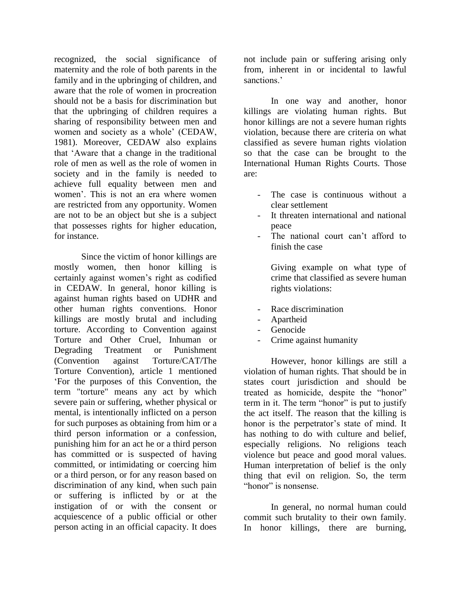recognized, the social significance of maternity and the role of both parents in the family and in the upbringing of children, and aware that the role of women in procreation should not be a basis for discrimination but that the upbringing of children requires a sharing of responsibility between men and women and society as a whole" (CEDAW, 1981). Moreover, CEDAW also explains that "Aware that a change in the traditional role of men as well as the role of women in society and in the family is needed to achieve full equality between men and women'. This is not an era where women are restricted from any opportunity. Women are not to be an object but she is a subject that possesses rights for higher education, for instance.

Since the victim of honor killings are mostly women, then honor killing is certainly against women"s right as codified in CEDAW. In general, honor killing is against human rights based on UDHR and other human rights conventions. Honor killings are mostly brutal and including torture. According to Convention against Torture and Other Cruel, Inhuman or Degrading Treatment or Punishment (Convention against Torture/CAT/The Torture Convention), article 1 mentioned "For the purposes of this Convention, the term "torture" means any act by which severe pain or suffering, whether physical or mental, is intentionally inflicted on a person for such purposes as obtaining from him or a third person information or a confession, punishing him for an act he or a third person has committed or is suspected of having committed, or intimidating or coercing him or a third person, or for any reason based on discrimination of any kind, when such pain or suffering is inflicted by or at the instigation of or with the consent or acquiescence of a public official or other person acting in an official capacity. It does

not include pain or suffering arising only from, inherent in or incidental to lawful sanctions<sup>'</sup>

In one way and another, honor killings are violating human rights. But honor killings are not a severe human rights violation, because there are criteria on what classified as severe human rights violation so that the case can be brought to the International Human Rights Courts. Those are:

- The case is continuous without a clear settlement
- It threaten international and national peace
- The national court can't afford to finish the case

Giving example on what type of crime that classified as severe human rights violations:

- Race discrimination
- Apartheid
- **Genocide**
- Crime against humanity

However, honor killings are still a violation of human rights. That should be in states court jurisdiction and should be treated as homicide, despite the "honor" term in it. The term "honor" is put to justify the act itself. The reason that the killing is honor is the perpetrator's state of mind. It has nothing to do with culture and belief, especially religions. No religions teach violence but peace and good moral values. Human interpretation of belief is the only thing that evil on religion. So, the term "honor" is nonsense.

In general, no normal human could commit such brutality to their own family. In honor killings, there are burning,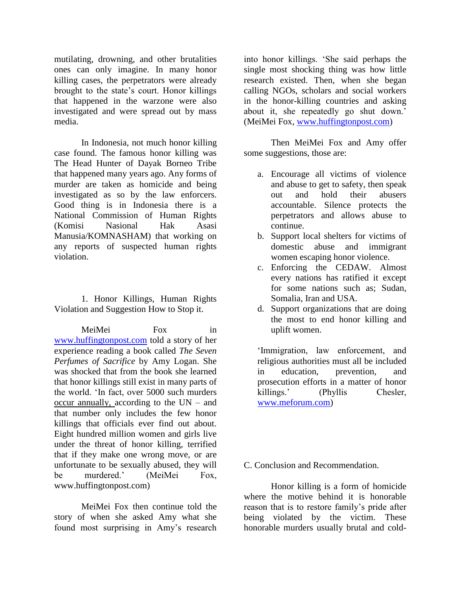mutilating, drowning, and other brutalities ones can only imagine. In many honor killing cases, the perpetrators were already brought to the state"s court. Honor killings that happened in the warzone were also investigated and were spread out by mass media.

In Indonesia, not much honor killing case found. The famous honor killing was The Head Hunter of Dayak Borneo Tribe that happened many years ago. Any forms of murder are taken as homicide and being investigated as so by the law enforcers. Good thing is in Indonesia there is a National Commission of Human Rights (Komisi Nasional Hak Asasi Manusia/KOMNASHAM) that working on any reports of suspected human rights violation.

1. Honor Killings, Human Rights Violation and Suggestion How to Stop it.

MeiMei Fox in [www.huffingtonpost.com](http://www.huffingtonpost.com/) told a story of her experience reading a book called *The Seven Perfumes of Sacrifice* by Amy Logan. She was shocked that from the book she learned that honor killings still exist in many parts of the world. "In fact, over 5000 such murders occur annually, according to the UN – and that number only includes the few honor killings that officials ever find out about. Eight hundred million women and girls live under the threat of honor killing, terrified that if they make one wrong move, or are unfortunate to be sexually abused, they will be murdered." (MeiMei Fox, www.huffingtonpost.com)

MeiMei Fox then continue told the story of when she asked Amy what she found most surprising in Amy"s research

into honor killings. "She said perhaps the single most shocking thing was how little research existed. Then, when she began calling NGOs, scholars and social workers in the honor-killing countries and asking about it, she repeatedly go shut down." (MeiMei Fox, [www.huffingtonpost.com\)](http://www.huffingtonpost.com/)

Then MeiMei Fox and Amy offer some suggestions, those are:

- a. Encourage all victims of violence and abuse to get to safety, then speak out and hold their abusers accountable. Silence protects the perpetrators and allows abuse to continue.
- b. Support local shelters for victims of domestic abuse and immigrant women escaping honor violence.
- c. Enforcing the CEDAW. Almost every nations has ratified it except for some nations such as; Sudan, Somalia, Iran and USA.
- d. Support organizations that are doing the most to end honor killing and uplift women.

"Immigration, law enforcement, and religious authorities must all be included in education, prevention, and prosecution efforts in a matter of honor killings.' (Phyllis Chesler, [www.meforum.com\)](http://www.meforum.com/)

#### C. Conclusion and Recommendation.

Honor killing is a form of homicide where the motive behind it is honorable reason that is to restore family"s pride after being violated by the victim. These honorable murders usually brutal and cold-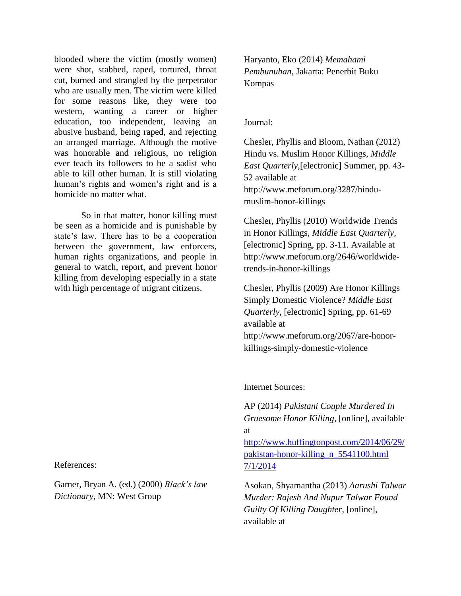blooded where the victim (mostly women) were shot, stabbed, raped, tortured, throat cut, burned and strangled by the perpetrator who are usually men. The victim were killed for some reasons like, they were too western, wanting a career or higher education, too independent, leaving an abusive husband, being raped, and rejecting an arranged marriage. Although the motive was honorable and religious, no religion ever teach its followers to be a sadist who able to kill other human. It is still violating human's rights and women's right and is a homicide no matter what.

So in that matter, honor killing must be seen as a homicide and is punishable by state's law. There has to be a cooperation between the government, law enforcers, human rights organizations, and people in general to watch, report, and prevent honor killing from developing especially in a state with high percentage of migrant citizens.

References:

Garner, Bryan A. (ed.) (2000) *Black's law Dictionary*, MN: West Group

Haryanto, Eko (2014) *Memahami Pembunuhan*, Jakarta: Penerbit Buku Kompas

### Journal:

Chesler, Phyllis and Bloom, Nathan (2012) Hindu vs. Muslim Honor Killings, *Middle East Quarterly*,[electronic] Summer, pp. 43- 52 available at http://www.meforum.org/3287/hindumuslim-honor-killings

Chesler, Phyllis (2010) Worldwide Trends in Honor Killings, *Middle East Quarterly*, [electronic] Spring, pp. 3-11. Available at http://www.meforum.org/2646/worldwidetrends-in-honor-killings

Chesler, Phyllis (2009) Are Honor Killings Simply Domestic Violence? *Middle East Quarterly*, [electronic] Spring, pp. 61-69 available at http://www.meforum.org/2067/are-honorkillings-simply-domestic-violence

Internet Sources:

AP (2014) *Pakistani Couple Murdered In Gruesome Honor Killing*, [online], available at

[http://www.huffingtonpost.com/2014/06/29/](http://www.huffingtonpost.com/2014/06/29/pakistan-honor-killing_n_5541100.html%207/1/2014) [pakistan-honor-killing\\_n\\_5541100.html](http://www.huffingtonpost.com/2014/06/29/pakistan-honor-killing_n_5541100.html%207/1/2014)  [7/1/2014](http://www.huffingtonpost.com/2014/06/29/pakistan-honor-killing_n_5541100.html%207/1/2014)

Asokan, Shyamantha (2013) *Aarushi Talwar Murder: Rajesh And Nupur Talwar Found Guilty Of Killing Daughter*, [online], available at